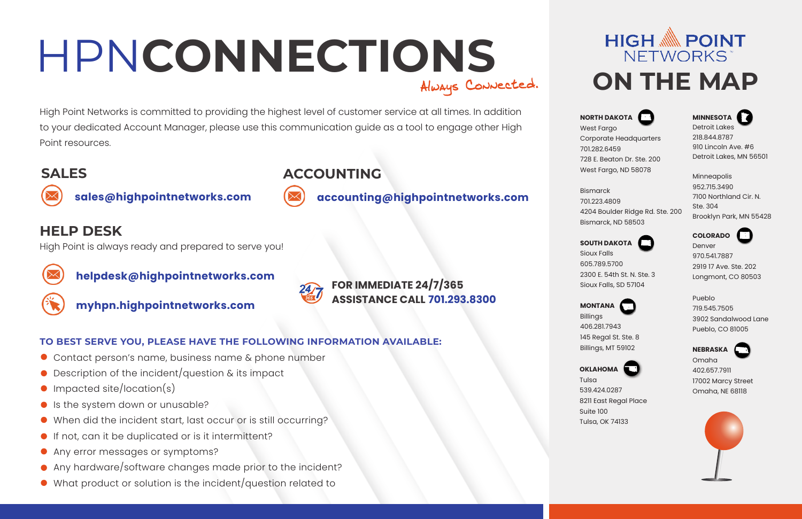# HPN**CONNECTIONS ON THE MAP**

High Point Networks is committed to providing the highest level of customer service at all times. In addition to your dedicated Account Manager, please use this communication guide as a tool to engage other High Point resources.

## **SALES ACCOUNTING**



**sales@highpointnetworks.com accounting@highpointnetworks.com**

### **HELP DESK**

High Point is always ready and prepared to serve you!



**helpdesk@highpointnetworks.com**



- 
- **myhpn.highpointnetworks.com**



#### **FOR IMMEDIATE 24/7/365 ASSISTANCE CALL 701.293.8300**

#### **TO BEST SERVE YOU, PLEASE HAVE THE FOLLOWING INFORMATION AVAILABLE:**

- Contact person's name, business name & phone number
- Description of the incident/question & its impact
- Impacted site/location(s)
- Is the system down or unusable?
- When did the incident start, last occur or is still occurring?
- If not, can it be duplicated or is it intermittent?
- **Any error messages or symptoms?**
- Any hardware/software changes made prior to the incident?
- What product or solution is the incident/question related to



**NORTH DAKOTA** West Farao Corporate Headquarters 701.282.6459 728 E. Beaton Dr. Ste. 200 West Fargo, ND 58078

**MINNESOTA** 2 Detroit Lakes 218.844.8787 910 Lincoln Ave. #6 Detroit Lakes, MN 56501

Bismarck 701.223.4809 4204 Boulder Ridge Rd. Ste. 200 Bismarck, ND 58503 Minneapolis 952.715.3490 7100 Northland Cir. N. Ste. 304 Brooklyn Park, MN 55428

Sioux Falls 605.789.5700 2300 E. 54th St. N. Ste. 3 Sioux Falls, SD 57104

**MONTANA** Billings

406.281.7943 145 Regal St. Ste. 8 Billings, MT 59102



**OKLAHOMA** Tulsa

539.424.0287 8211 East Regal Place Suite 100 Tulsa, OK 74133

Omaha 402.657.7911 17002 Marcy Street Omaha, NE 68118



**SOUTH DAKOTA**

Denver 970.541.7887 2919 17 Ave. Ste. 202 Longmont, CO 80503

 $\Box$ 

**COLORADO**

Pueblo 719.545.7505 3902 Sandalwood Lane Pueblo, CO 81005